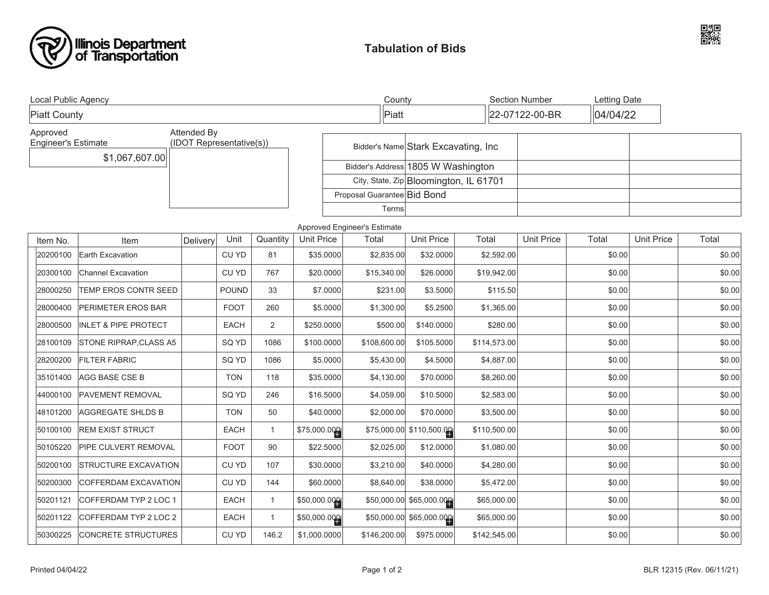



| Local Public Agency                                                               |                                 |          |              |                | County                             |                                        |                                      |              | <b>Section Number</b>      |        | Letting Date      |        |
|-----------------------------------------------------------------------------------|---------------------------------|----------|--------------|----------------|------------------------------------|----------------------------------------|--------------------------------------|--------------|----------------------------|--------|-------------------|--------|
| <b>Piatt County</b>                                                               |                                 |          |              |                |                                    | Piatt                                  |                                      |              | 04/04/22<br>22-07122-00-BR |        |                   |        |
| Approved<br>Attended By<br><b>Engineer's Estimate</b><br>(IDOT Representative(s)) |                                 |          |              |                |                                    |                                        | Bidder's Name Stark Excavating, Inc. |              |                            |        |                   |        |
| \$1,067,607.00                                                                    |                                 |          |              |                | Bidder's Address 1805 W Washington |                                        |                                      |              |                            |        |                   |        |
|                                                                                   |                                 |          |              |                |                                    | City, State, Zip Bloomington, IL 61701 |                                      |              |                            |        |                   |        |
|                                                                                   |                                 |          |              |                |                                    | Proposal Guarantee Bid Bond            |                                      |              |                            |        |                   |        |
|                                                                                   |                                 |          |              |                |                                    | Terms                                  |                                      |              |                            |        |                   |        |
| Approved Engineer's Estimate                                                      |                                 |          |              |                |                                    |                                        |                                      |              |                            |        |                   |        |
| Item No.                                                                          | Item                            | Delivery | Unit         | Quantity       | <b>Unit Price</b>                  | Total                                  | <b>Unit Price</b>                    | Total        | <b>Unit Price</b>          | Total  | <b>Unit Price</b> | Total  |
| 20200100                                                                          | Earth Excavation                |          | CU YD        | 81             | \$35.0000                          | \$2,835.00                             | \$32.0000                            | \$2,592.00   |                            | \$0.00 |                   | \$0.00 |
| 20300100                                                                          | Channel Excavation              |          | CU YD        | 767            | \$20.0000                          | \$15,340.00                            | \$26.0000                            | \$19,942.00  |                            | \$0.00 |                   | \$0.00 |
| 28000250                                                                          | <b>TEMP EROS CONTR SEED</b>     |          | <b>POUND</b> | 33             | \$7.0000                           | \$231.00                               | \$3.5000                             | \$115.50     |                            | \$0.00 |                   | \$0.00 |
| 28000400                                                                          | <b>PERIMETER EROS BAR</b>       |          | <b>FOOT</b>  | 260            | \$5.0000                           | \$1,300.00                             | \$5.2500                             | \$1,365.00   |                            | \$0.00 |                   | \$0.00 |
| 28000500                                                                          | <b>INLET &amp; PIPE PROTECT</b> |          | <b>EACH</b>  | $\overline{2}$ | \$250.0000                         | \$500.00                               | \$140.0000                           | \$280.00     |                            | \$0.00 |                   | \$0.00 |
| 28100109                                                                          | STONE RIPRAP, CLASS A5          |          | SQ YD        | 1086           | \$100.0000                         | \$108,600.00                           | \$105.5000                           | \$114,573.00 |                            | \$0.00 |                   | \$0.00 |
| 28200200                                                                          | <b>FILTER FABRIC</b>            |          | SQ YD        | 1086           | \$5.0000                           | \$5,430.00                             | \$4.5000                             | \$4,887.00   |                            | \$0.00 |                   | \$0.00 |
| 35101400                                                                          | AGG BASE CSE B                  |          | <b>TON</b>   | 118            | \$35.0000                          | \$4,130.00                             | \$70.0000                            | \$8,260.00   |                            | \$0.00 |                   | \$0.00 |
| 44000100                                                                          | <b>PAVEMENT REMOVAL</b>         |          | SQ YD        | 246            | \$16.5000                          | \$4,059.00                             | \$10.5000                            | \$2,583.00   |                            | \$0.00 |                   | \$0.00 |
| 48101200                                                                          | <b>AGGREGATE SHLDS B</b>        |          | <b>TON</b>   | 50             | \$40.0000                          | \$2,000.00                             | \$70.0000                            | \$3,500.00   |                            | \$0.00 |                   | \$0.00 |
| 50100100                                                                          | <b>REM EXIST STRUCT</b>         |          | <b>EACH</b>  | $\mathbf{1}$   | \$75,000.000                       |                                        | \$75,000.00 \$110,500.00             | \$110,500.00 |                            | \$0.00 |                   | \$0.00 |
| 50105220                                                                          | PIPE CULVERT REMOVAL            |          | <b>FOOT</b>  | 90             | \$22.5000                          | \$2,025.00                             | \$12.0000                            | \$1,080.00   |                            | \$0.00 |                   | \$0.00 |
| 50200100                                                                          | <b>STRUCTURE EXCAVATION</b>     |          | CU YD        | 107            | \$30.0000                          | \$3,210.00                             | \$40.0000                            | \$4,280.00   |                            | \$0.00 |                   | \$0.00 |
| 50200300                                                                          | COFFERDAM EXCAVATION            |          | CU YD        | 144            | \$60.0000                          | \$8,640.00                             | \$38.0000                            | \$5,472.00   |                            | \$0.00 |                   | \$0.00 |
| 50201121                                                                          | COFFERDAM TYP 2 LOC 1           |          | <b>EACH</b>  | $\mathbf{1}$   | \$50,000.000                       |                                        | \$50,000.00 \$65,000.000             | \$65,000.00  |                            | \$0.00 |                   | \$0.00 |
| 50201122                                                                          | COFFERDAM TYP 2 LOC 2           |          | <b>EACH</b>  | $\mathbf{1}$   | \$50,000.000                       |                                        | \$50,000.00 \$65,000.000             | \$65,000.00  |                            | \$0.00 |                   | \$0.00 |
| 50300225                                                                          | <b>CONCRETE STRUCTURES</b>      |          | CU YD        | 146.2          | \$1,000.0000                       | \$146,200.00                           | \$975.0000                           | \$142,545.00 |                            | \$0.00 |                   | \$0.00 |